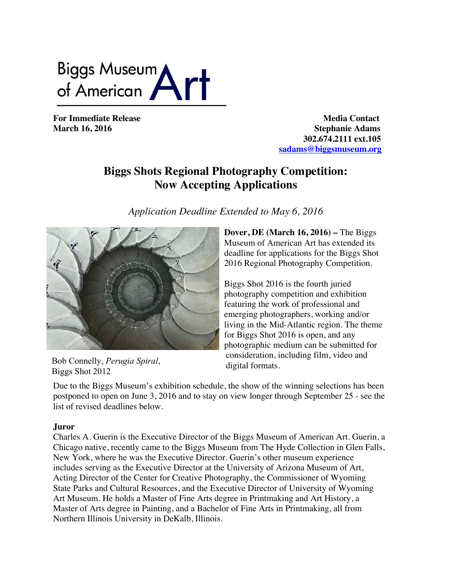Biggs Museum<br>of American

**For Immediate Release Media Contact March 16, 2016** Stephanie Adams  **302.674.2111 ext.105 sadams@biggsmuseum.org**

# **Biggs Shots Regional Photography Competition: Now Accepting Applications**

*Application Deadline Extended to May 6, 2016*



Bob Connelly, *Perugia Spiral*, Biggs Shot 2012

**Dover, DE (March 16, 2016) –** The Biggs Museum of American Art has extended its deadline for applications for the Biggs Shot 2016 Regional Photography Competition.

Biggs Shot 2016 is the fourth juried photography competition and exhibition featuring the work of professional and emerging photographers, working and/or living in the Mid-Atlantic region. The theme for Biggs Shot 2016 is open, and any photographic medium can be submitted for consideration, including film, video and digital formats.

Due to the Biggs Museum's exhibition schedule, the show of the winning selections has been postponed to open on June 3, 2016 and to stay on view longer through September 25 - see the list of revised deadlines below.

# **Juror**

Charles A. Guerin is the Executive Director of the Biggs Museum of American Art. Guerin, a Chicago native, recently came to the Biggs Museum from The Hyde Collection in Glen Falls, New York, where he was the Executive Director. Guerin's other museum experience includes serving as the Executive Director at the University of Arizona Museum of Art, Acting Director of the Center for Creative Photography, the Commissioner of Wyoming State Parks and Cultural Resources, and the Executive Director of University of Wyoming Art Museum. He holds a Master of Fine Arts degree in Printmaking and Art History, a Master of Arts degree in Painting, and a Bachelor of Fine Arts in Printmaking, all from Northern Illinois University in DeKalb, Illinois.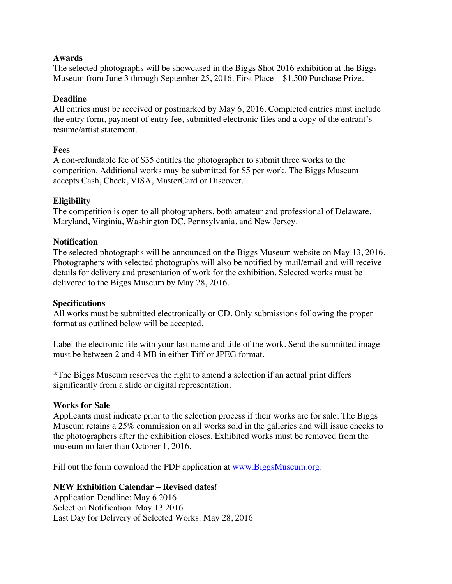# **Awards**

The selected photographs will be showcased in the Biggs Shot 2016 exhibition at the Biggs Museum from June 3 through September 25, 2016. First Place – \$1,500 Purchase Prize.

# **Deadline**

All entries must be received or postmarked by May 6, 2016. Completed entries must include the entry form, payment of entry fee, submitted electronic files and a copy of the entrant's resume/artist statement.

#### **Fees**

A non-refundable fee of \$35 entitles the photographer to submit three works to the competition. Additional works may be submitted for \$5 per work. The Biggs Museum accepts Cash, Check, VISA, MasterCard or Discover.

#### **Eligibility**

The competition is open to all photographers, both amateur and professional of Delaware, Maryland, Virginia, Washington DC, Pennsylvania, and New Jersey.

#### **Notification**

The selected photographs will be announced on the Biggs Museum website on May 13, 2016. Photographers with selected photographs will also be notified by mail/email and will receive details for delivery and presentation of work for the exhibition. Selected works must be delivered to the Biggs Museum by May 28, 2016.

#### **Specifications**

All works must be submitted electronically or CD. Only submissions following the proper format as outlined below will be accepted.

Label the electronic file with your last name and title of the work. Send the submitted image must be between 2 and 4 MB in either Tiff or JPEG format.

\*The Biggs Museum reserves the right to amend a selection if an actual print differs significantly from a slide or digital representation.

#### **Works for Sale**

Applicants must indicate prior to the selection process if their works are for sale. The Biggs Museum retains a 25% commission on all works sold in the galleries and will issue checks to the photographers after the exhibition closes. Exhibited works must be removed from the museum no later than October 1, 2016.

Fill out the form download the PDF application at www.BiggsMuseum.org.

# **NEW Exhibition Calendar – Revised dates!**

Application Deadline: May 6 2016 Selection Notification: May 13 2016 Last Day for Delivery of Selected Works: May 28, 2016